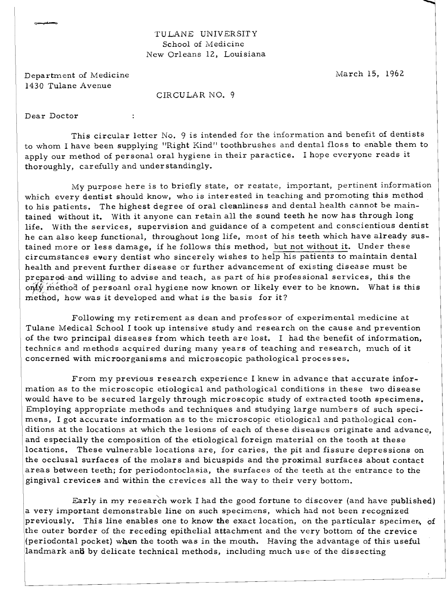## TULANE UNIVERSITY School of Medicine New Orleans 12, Louisiana

Department of Medicine March 15, 1962 1430 Tulane Avenue

 $\overline{z}$ 

CIRCULAR NO.9

Dear Doctor

This circular letter No. 9 is intended for the information and benefit of dentists to whom I have been supplying "Right Kind" toothbrushes and dental floss to enable them to apply our method of personal oral hygiene in their paractice. I hope everyone reads it thoroughly, carefully and under standingly.

My purpose here is to briefly state, or restate, important, pertinent information which every dentist should know, who is interested in teaching and promoting this method to his patients. The highest degree of oral cleanliness and dental health cannot be maintained without it. With it anyone can retain all the sound teeth he now has through long life. With the services, supervision and guidance of a competent and conscientious dentist he can also keep functional, throughout long life, most of his teeth which have already sustained more or less damage, if he follows this method, but not without it. Under these circumstances every dentist who sincerely wishes to help his patients to maintain dental health and prevent further disease or further advancement of existing disease must be prepared and willing to advise and teach, as part of his professional services, this the only method of persoanl oral hygiene now known or likely ever to be known. What is this method, how was it developed and what is the basis for it?

Following my retirement as dean and professor of experimental medicine at Tulane Medical School I took up intensive study and research on the cause and prevention of the two principal diseases from which teeth are lost. I had the benefit of information. technics and methods acquired during many years of teaching and research, much of it concerned with microorganisms and microscopic pathological processes.

From my previous research experience I knew in advance that accurate information as to the microscopic etiological and pathological conditions in these two disease would have to be secured largely through microscopic study of extracted tooth specimens. Employing appropriate methods and techniques and studying large numbers of such specimens, I got accurate information as to the microscopic etiological and pathological conditions at the locations at which the lesions of each of these diseases originate and advance, and especially the composition of the etiological foreign material on the tooth at these locations. These vulnerable locations are, for caries, the pit and fissure depressions on the occlusal surfaces of the molars and bicuspids and the proximal surfaces about contact areas between teeth; for periodontoclasia, the surfaces of the teeth at the entrance to the gingival crevices and within the crevices all the way to their very bottom.

Early in my research work I had the good fortune to discover (and have published) a very important demonstrable line on such specimens, which had not been recognized previously. This line enables one to know the exact location, on the particular specimer, of the outer border of the receding epithelial attachment and the very bottom of the crevice (periodontal pocket) when the tooth was in the mouth. Having the advantage of this useful landmark and by delicate technical methods, including much use of the dissecting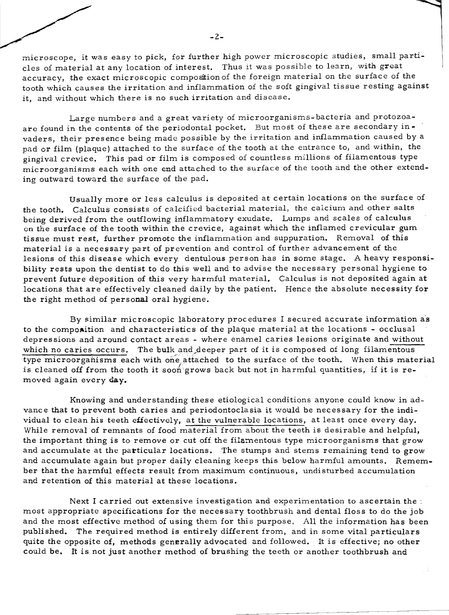microscope, it was easy to pick, for further high power microscopic studies, small particles of material at any location of interest. Thus it was possible to learn, with great accuracy, the exact microscopic composition of the foreign material on the surface of the tooth which causes the irritation and inflammation of the soft gingival tissue resting against it, and without which there is no such irritation and disease.

Large numbers and a great variety of microorganisms- bacteria and protozoaare found in the contents of the periodontal pocket. But most of these are secondary in vaders, their presence being made possible by the irritation and inflammation caused by a pad or film (plaque) attached to the surface of the tooth at the entrance *to,* and within, the gingival crevice. This pad or film is composed of countless millions of filamentous type microorganisms each with one end attached to the surface of the tooth and the other extending outward toward the surface of the pad.

Usually more or less calculus is deposited at certain locations on the surface of the tooth. Calculus consists of calcified bacterial material, the calcium and other salts being derived from the outflowing inflammatory exudate. Lumps and scales of calculus on the surface of the tooth within the crevice, against which the inflamed crevicular gum tissue must rest, further promote the inflammation and suppuration. Removal of this material is a necessary part of prevention and control of further advancement of the lesions of this disease which every dentulous person has in some stage. A heavy responsibility rests upon the dentist to do this well and to advise the necessary personal hygiene to prevent future deposition of this very harmful material. Calculus is not deposited again at locations that are effectively cleaned daily by the patient. Hence the absolute necessity for the right method of personal oral hygiene.

By similar microscopic laboratory procedures I secured accurate information as to the composition and characteristics of the plaque material at the locations - occlusal depressions and around contact areas - where enamel caries lesions originate and without which no caries occurs. The bulk and deeper part of it is composed of long filamentous type microorganisms each with one attached to the surface of the tooth. When this material is cleaned off from the tooth it soon grows back but not in harmful quantities, if it is removed again every day.

Knowing and understanding these etiological conditions anyone could know in advance that to prevent both caries and periodontoclasia it would be necessary for the individual to clean his teeth effectively, at the vulnerable locations, at least once every day. While removal of remnants of food material from about the teeth is desirable and helpful, the important thing is to remove or cut off the filamentous type microorganisms that grow and accumulate at the particular locations. The stumps and stems remaining tend to grow and accumulate again but proper daily cleaning keeps this below harmful amounts. Remember that the harmful effects result from maximum continuous, undisturbed accumulation and retention of this material at these locations.

Next I carried out extensive investigation and experimentation to ascertain the: most appropriate specifications for the necessary toothbrush and dental floss to do the job and the most effective method of using them for this purpose, All the information has been published. The required method is entirely different from, and in some vital particulars quite the opposite of, methods generally advocated and followed. It is effective; no other could be. It is not just another method of brushing the teeth or another toothbrush and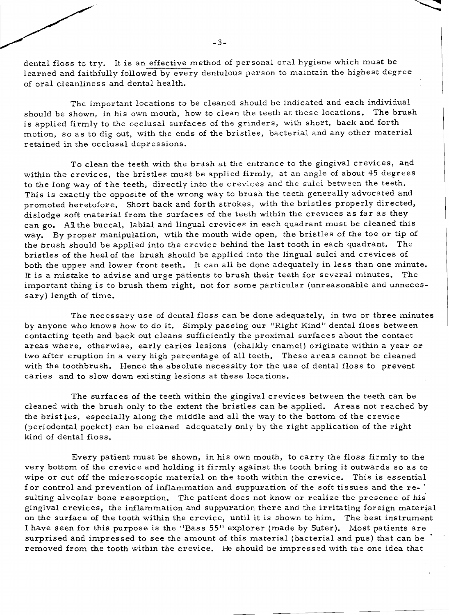dental floss to try. It is an effective method of personal oral hygiene which must be learned and faithfully followed by every dentulous person to maintain the highest degree of oral cleanliness and dental health.

The important locations to be cleaned should be indicated and each individual should be shown, in his own mouth, how to clean the teeth at these locations. The brush is applied firmly to the occlusal surfaces of the grinders, with short, back and forth motion, so as to dig out, with the ends of the bristles, bacterial and any other material retained in the occlusal depres sions.

To clean the teeth with the brush at the entrance to the gingival crevices, and within the crevices, the bristles must be applied firmly, at an angle of about 45 degrees to the long way of the teeth, directly into the crevices and the sulci between the teeth. This is exactly the opposite of the wrong way to brush the teeth generally advocated and promoted heretofore, Short back and forth strokes, with the bristles properly directed, dislodge soft material from the surfaces of the teeth within the crevices as far as they can go. All the buccal, labial and lingual crevices in each quadrant must be cleaned this way. By proper manipulation, wtih the mouth wide open, the bristles of the toe or tip of the brush should be applied into the crevice behind the last tooth in each quadrant. The bristles of the heel of the brush should be applied into the lingual sulci and crevices of both the upper and lower front teeth. It can all be done adequately in less than one minute. It is a mistake to advise and urge patients to brush their teeth for several minutes. The important thing is to brush them right, not for some particular (unreasonable and unnecessary) length of time.

The necessary use of dental floss can be done adequately, in two or three minutes by anyone who knows how to do it. Simply passing our "Right Kind" dental floss between contacting teeth and back out cleans sufficiently the proximal surfaces about the contact areas where, otherwise, early caries lesions (chalkly enamel) originate within a year or two after eruption in a very high percentage of all teeth. These areas cannot be cleaned with the toothbrush. Hence the absolute necessity for the use of dental floss to prevent caries and to slow down existing lesions at these locations.

The surfaces of the teeth within the gingival crevices between the teeth can be cleaned with the brush only to the extent the bristles can be applied. Areas not reached by the brist les, especially along the middle and all the way to the bottom of the crevice (periodontal pocket) can be cleaned adequately only by the right application of the right kind of dental floss.

Every patient must be shown, in his own mouth, to carry the floss firmly to the very bottom of the crevice and holding it firmly against the tooth bring it outwards so as to wipe or cut off the microscopic material on the tooth within the crevice. This is essential for control and prevention of inflammation and suppuration of the soft tissues and the resulting alveolar bone resorption. The patient does not know or realize the presence of his gingival crevices, the inflammation and suppuration there and the irritating foreign material on the surface of the tooth within the crevice, until it is shown to him. The best instrument I have seen for this purpose is the "Bass 55" explorer (made by Suter). Most patients are surprised and impressed to see the amount of this material (bacterial and pus) that can be removed from the tooth within the crevice. He should be impressed with the one idea that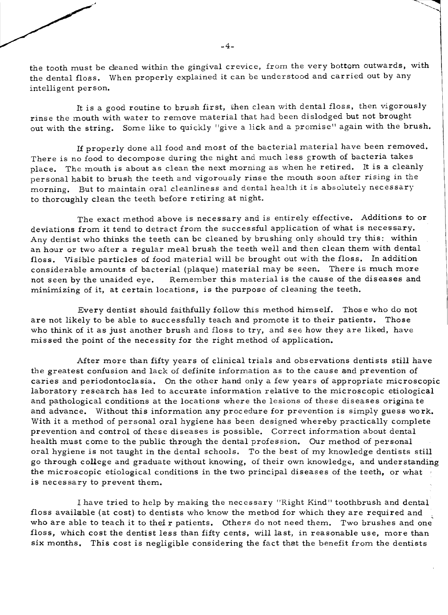the tooth must be cleaned within the gingival crevice, from the very bottom outwards, with the dental floss. When properly explained it can be understood and carried out by any intelligent person.

It is a good routine to brush first, then clean with dental floss, then vigorously rinse the mouth with water to remove material that had been dislodged but not brought out with the string. Some like to quickly "give a lick and a promise" again with the brush.

If properly done all food and most of the bacterial material have been removed. There is no food to decompose during the night and much less growth of bacteria takes place. The mouth is about as clean the next morning as when he retired. It is a cleanly personal habit to brush the teeth and vigorously rinse the mouth soon after rising in the morning. But to maintain oral cleanliness and dental health it is absolutely necessary to thoroughly clean the teeth before retiring at night.

The exact method above is necessary and is entirely effective. Additions to or deviations from it tend to detract from the successful application of what is necessary. Any dentist who thinks the teeth can be cleaned by brushing only should try this: within an hour or two after a regular meal brush the teeth well and then clean them with dental floss. Visible particles of food material will be brought out with the floss. In addition considerable amounts of bacterial (plaque) material may be seen. There is much more not seen by the unaided eye. Remember this material is the cause of the diseases and minimizing of it, at certain locations, is the purpose of cleaning the teeth.

Every dentist should faithfully follow this method himself. Thos e who do not are not likely to be able to successfully teach and promote it to their patients. Those who think of it as just another brush and floss to try, and see how they are liked, have missed the point of the necessity for the right method of application.

After more than fifty years of clinical trials and observations dentists still have the greatest confusion and lack of definite information as to the cause and prevention of caries and periodontoclasia. On the other hand only a few years of appropriate microscopic laboratory research has led to accurate information relative to the microscopic etiological and pathological conditions at the locations where the lesions of these diseases origina te and advance. Without this information any procedure for prevention is simply guess work. With it a method of personal oral hygiene has been designed whereby practically complete prevention and control of these diseases is possible. Correct information about dental health must come to the public through the dental profession. Our method of personal oral hygiene is not taught in the dental schools. To the best of my knowledge dentists still go through college and graduate without knowing, of their own knowledge., and understanding the microscopic etiological conditions in the two principal diseases of the teeth, or what is necessary to prevent them.

I have tried to help by making the necessary "Right Kind" toothbrush and dental floss available (at cost) to dentists who know the method for which they are required and who are able to teach it to their patients. Others do not need them. Two brushes and one floss, which cost the dentist less than fifty cents, will last, in reasonable use, more than six months. This cost is negligible considering the fact that the benefit from the dentists